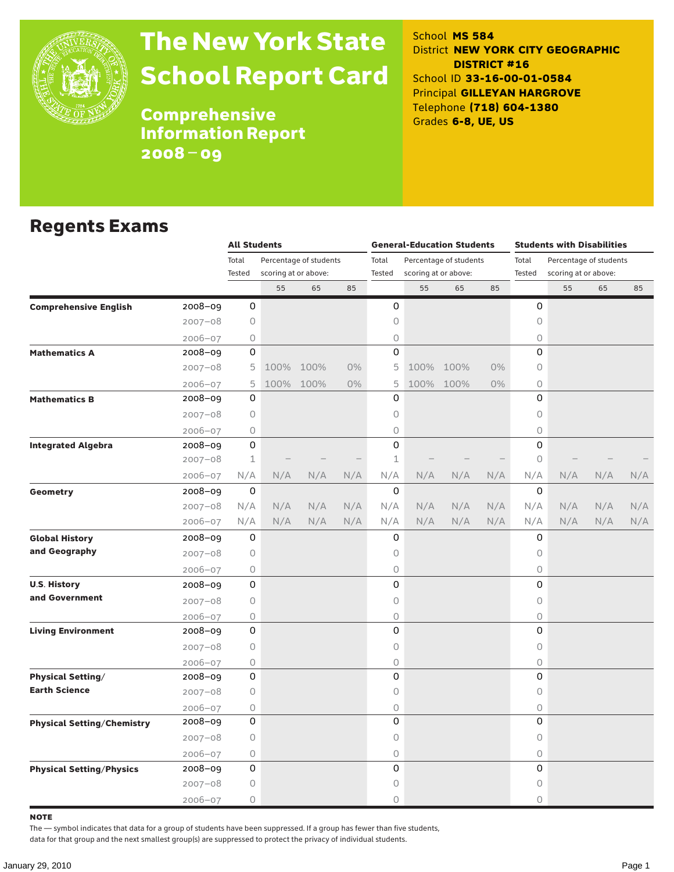

# The New York State School Report Card

School **MS 584** District **NEW YORK CITY GEOGRAPHIC DISTRICT #16** School ID **33-16-00-01-0584** Principal **GILLEYAN HARGROVE** Telephone **(718) 604-1380** Grades **6-8, UE, US**

**Comprehensive** Information Report 2008–09

#### Regents Exams

|                                   |             | <b>All Students</b>             |      |                      |     |              |      | <b>General-Education Students</b> |       | <b>Students with Disabilities</b> |                        |     |     |  |  |
|-----------------------------------|-------------|---------------------------------|------|----------------------|-----|--------------|------|-----------------------------------|-------|-----------------------------------|------------------------|-----|-----|--|--|
|                                   |             | Total<br>Percentage of students |      |                      |     | Total        |      | Percentage of students            |       | Total                             | Percentage of students |     |     |  |  |
|                                   |             | Tested                          |      | scoring at or above: |     | Tested       |      | scoring at or above:              |       | Tested                            | scoring at or above:   |     |     |  |  |
|                                   |             |                                 | 55   | 65                   | 85  |              | 55   | 65                                | 85    |                                   | 55                     | 65  | 85  |  |  |
| <b>Comprehensive English</b>      | 2008-09     | 0                               |      |                      |     | 0            |      |                                   |       | 0                                 |                        |     |     |  |  |
|                                   | $2007 - 08$ | 0                               |      |                      |     | 0            |      |                                   |       | 0                                 |                        |     |     |  |  |
|                                   | $2006 - 07$ | 0                               |      |                      |     | 0            |      |                                   |       | 0                                 |                        |     |     |  |  |
| <b>Mathematics A</b>              | 2008-09     | 0                               |      |                      |     | $\Omega$     |      |                                   |       | $\Omega$                          |                        |     |     |  |  |
|                                   | $2007 - 08$ | 5                               | 100% | 100%                 | 0%  | 5            | 100% | 100%                              | 0%    | 0                                 |                        |     |     |  |  |
|                                   | $2006 - 07$ | 5                               |      | 100% 100%            | 0%  | 5            |      | 100% 100%                         | $0\%$ | $\circ$                           |                        |     |     |  |  |
| <b>Mathematics B</b>              | 2008-09     | 0                               |      |                      |     | 0            |      |                                   |       | 0                                 |                        |     |     |  |  |
|                                   | $2007 - 08$ | 0                               |      |                      |     | 0            |      |                                   |       | $\circ$                           |                        |     |     |  |  |
|                                   | $2006 - 07$ | 0                               |      |                      |     | 0            |      |                                   |       | $\circ$                           |                        |     |     |  |  |
| <b>Integrated Algebra</b>         | 2008-09     | 0                               |      |                      |     | 0            |      |                                   |       | 0                                 |                        |     |     |  |  |
|                                   | $2007 - 08$ | $\mathbf 1$                     |      |                      |     | $\mathbf{1}$ |      |                                   |       | 0                                 |                        |     |     |  |  |
|                                   | $2006 - 07$ | N/A                             | N/A  | N/A                  | N/A | N/A          | N/A  | N/A                               | N/A   | N/A                               | N/A                    | N/A | N/A |  |  |
| Geometry                          | $2008 - 09$ | 0                               |      |                      |     | $\mathbf 0$  |      |                                   |       | 0                                 |                        |     |     |  |  |
|                                   | $2007 - 08$ | N/A                             | N/A  | N/A                  | N/A | N/A          | N/A  | N/A                               | N/A   | N/A                               | N/A                    | N/A | N/A |  |  |
|                                   | $2006 - 07$ | N/A                             | N/A  | N/A                  | N/A | N/A          | N/A  | N/A                               | N/A   | N/A                               | N/A                    | N/A | N/A |  |  |
| <b>Global History</b>             | 2008-09     | 0                               |      |                      |     | 0            |      |                                   |       | 0                                 |                        |     |     |  |  |
| and Geography                     | $2007 - 08$ | 0                               |      |                      |     | 0            |      |                                   |       | $\circ$                           |                        |     |     |  |  |
|                                   | $2006 - 07$ | 0                               |      |                      |     | 0            |      |                                   |       | $\bigcirc$                        |                        |     |     |  |  |
| <b>U.S. History</b>               | 2008-09     | 0                               |      |                      |     | 0            |      |                                   |       | 0                                 |                        |     |     |  |  |
| and Government                    | $2007 - 08$ | 0                               |      |                      |     | 0            |      |                                   |       | 0                                 |                        |     |     |  |  |
|                                   | $2006 - 07$ | 0                               |      |                      |     | 0            |      |                                   |       | $\bigcirc$                        |                        |     |     |  |  |
| <b>Living Environment</b>         | 2008-09     | 0                               |      |                      |     | 0            |      |                                   |       | $\Omega$                          |                        |     |     |  |  |
|                                   | $2007 - 08$ | 0                               |      |                      |     | 0            |      |                                   |       | 0                                 |                        |     |     |  |  |
|                                   | $2006 - 07$ | 0                               |      |                      |     | 0            |      |                                   |       | 0                                 |                        |     |     |  |  |
| <b>Physical Setting/</b>          | 2008-09     | 0                               |      |                      |     | 0            |      |                                   |       | 0                                 |                        |     |     |  |  |
| <b>Earth Science</b>              | $2007 - 08$ | 0                               |      |                      |     | 0            |      |                                   |       | 0                                 |                        |     |     |  |  |
|                                   | $2006 - 07$ | 0                               |      |                      |     | 0            |      |                                   |       | 0                                 |                        |     |     |  |  |
| <b>Physical Setting/Chemistry</b> | 2008-09     | 0                               |      |                      |     | 0            |      |                                   |       | 0                                 |                        |     |     |  |  |
|                                   | $2007 - 08$ | 0                               |      |                      |     | 0            |      |                                   |       | 0                                 |                        |     |     |  |  |
|                                   | $2006 - 07$ | 0                               |      |                      |     | 0            |      |                                   |       | 0                                 |                        |     |     |  |  |
| <b>Physical Setting/Physics</b>   | 2008-09     | 0                               |      |                      |     | 0            |      |                                   |       | 0                                 |                        |     |     |  |  |
|                                   | $2007 - 08$ | 0                               |      |                      |     | 0            |      |                                   |       | 0                                 |                        |     |     |  |  |
|                                   | $2006 - 07$ | 0                               |      |                      |     | 0            |      |                                   |       | 0                                 |                        |     |     |  |  |

note

The — symbol indicates that data for a group of students have been suppressed. If a group has fewer than five students,

data for that group and the next smallest group(s) are suppressed to protect the privacy of individual students.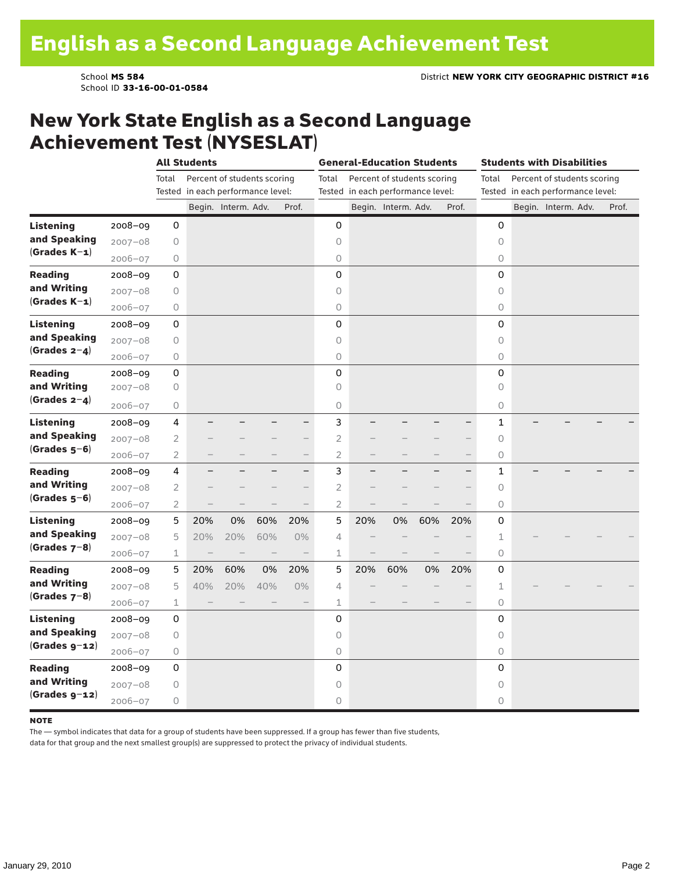School ID **33-16-00-01-0584**

#### New York State English as a Second Language Achievement Test (NYSESLAT)

|                  |             |                | <b>All Students</b> |                                   |                   |                          |                |     | <b>General-Education Students</b> |     |                          |                     | <b>Students with Disabilities</b> |       |
|------------------|-------------|----------------|---------------------|-----------------------------------|-------------------|--------------------------|----------------|-----|-----------------------------------|-----|--------------------------|---------------------|-----------------------------------|-------|
|                  |             | Total          |                     | Percent of students scoring       |                   |                          | Total          |     | Percent of students scoring       |     |                          | Total               | Percent of students scoring       |       |
|                  |             |                |                     | Tested in each performance level: |                   |                          |                |     | Tested in each performance level: |     |                          |                     | Tested in each performance level: |       |
|                  |             |                |                     | Begin. Interm. Adv.               |                   | Prof.                    |                |     | Begin. Interm. Adv.               |     | Prof.                    |                     | Begin. Interm. Adv.               | Prof. |
| <b>Listening</b> | 2008-09     | 0              |                     |                                   |                   |                          | 0              |     |                                   |     |                          | $\mathbf 0$         |                                   |       |
| and Speaking     | $2007 - 08$ | 0              |                     |                                   |                   |                          | 0              |     |                                   |     |                          | $\circ$             |                                   |       |
| $(Grades K-1)$   | $2006 - 07$ | 0              |                     |                                   |                   |                          | $\bigcirc$     |     |                                   |     |                          | $\circlearrowright$ |                                   |       |
| <b>Reading</b>   | 2008-09     | 0              |                     |                                   |                   |                          | 0              |     |                                   |     |                          | 0                   |                                   |       |
| and Writing      | $2007 - 08$ | 0              |                     |                                   |                   |                          | 0              |     |                                   |     |                          | $\circ$             |                                   |       |
| (Grades $K-1$ )  | $2006 - 07$ | 0              |                     |                                   |                   |                          | 0              |     |                                   |     |                          | 0                   |                                   |       |
| <b>Listening</b> | $2008 - 09$ | 0              |                     |                                   |                   |                          | 0              |     |                                   |     |                          | 0                   |                                   |       |
| and Speaking     | $2007 - 08$ | 0              |                     |                                   |                   |                          | 0              |     |                                   |     |                          | $\circlearrowright$ |                                   |       |
| (Grades $2-4$ )  | $2006 - 07$ | 0              |                     |                                   |                   |                          | 0              |     |                                   |     |                          | $\circ$             |                                   |       |
| <b>Reading</b>   | $2008 - 09$ | 0              |                     |                                   |                   |                          | 0              |     |                                   |     |                          | 0                   |                                   |       |
| and Writing      | $2007 - 08$ | $\bigcirc$     |                     |                                   |                   |                          | $\circ$        |     |                                   |     |                          | $\circ$             |                                   |       |
| $(Grades 2-4)$   | $2006 - 07$ | 0              |                     |                                   |                   |                          | 0              |     |                                   |     |                          | $\circ$             |                                   |       |
| Listening        | $2008 - 09$ | 4              |                     |                                   |                   | $\overline{\phantom{0}}$ | 3              |     |                                   |     | $\overline{\phantom{0}}$ | $\mathbf{1}$        |                                   |       |
| and Speaking     | $2007 - 08$ | 2              |                     |                                   |                   | $-$                      | 2              |     |                                   |     |                          | 0                   |                                   |       |
| $(Grades 5-6)$   | $2006 - 07$ | $\overline{2}$ |                     |                                   |                   | $\overline{\phantom{0}}$ | $\overline{2}$ |     |                                   |     |                          | $\circlearrowright$ |                                   |       |
| <b>Reading</b>   | 2008-09     | $\overline{4}$ |                     |                                   |                   | $\overline{\phantom{0}}$ | 3              |     |                                   |     | $\overline{\phantom{0}}$ | $\mathbf 1$         |                                   |       |
| and Writing      | $2007 - 08$ | $\overline{2}$ |                     |                                   |                   | $\overline{\phantom{0}}$ | $\overline{2}$ |     |                                   |     |                          | $\circ$             |                                   |       |
| $(Grades 5-6)$   | $2006 - 07$ | 2              |                     |                                   |                   | $\qquad \qquad -$        | $\overline{2}$ |     |                                   |     |                          | 0                   |                                   |       |
| <b>Listening</b> | $2008 - 09$ | 5              | 20%                 | 0%                                | 60%               | 20%                      | 5              | 20% | 0%                                | 60% | 20%                      | 0                   |                                   |       |
| and Speaking     | $2007 - 08$ | 5              | 20%                 | 20%                               | 60%               | $0\%$                    | 4              |     |                                   |     |                          | 1                   |                                   |       |
| (Grades $7-8$ )  | $2006 - 07$ | 1              |                     |                                   | $\qquad \qquad -$ |                          | $\mathbf 1$    |     |                                   |     |                          | 0                   |                                   |       |
| <b>Reading</b>   | $2008 - 09$ | 5              | 20%                 | 60%                               | 0%                | 20%                      | 5              | 20% | 60%                               | 0%  | 20%                      | 0                   |                                   |       |
| and Writing      | $2007 - 08$ | 5              | 40%                 | 20%                               | 40%               | $0\%$                    | 4              |     |                                   |     |                          | $\mathbf 1$         |                                   |       |
| $(Grades 7-8)$   | $2006 - 07$ | 1              |                     |                                   |                   | $\overline{\phantom{0}}$ | $\mathbf 1$    |     |                                   |     |                          | $\circlearrowright$ |                                   |       |
| Listening        | 2008-09     | 0              |                     |                                   |                   |                          | 0              |     |                                   |     |                          | 0                   |                                   |       |
| and Speaking     | $2007 - 08$ | 0              |                     |                                   |                   |                          | 0              |     |                                   |     |                          | $\circ$             |                                   |       |
| $(Grades g-12)$  | 2006-07     | 0              |                     |                                   |                   |                          | $\bigcirc$     |     |                                   |     |                          | $\circlearrowright$ |                                   |       |
| <b>Reading</b>   | $2008 - 09$ | 0              |                     |                                   |                   |                          | 0              |     |                                   |     |                          | 0                   |                                   |       |
| and Writing      | $2007 - 08$ | 0              |                     |                                   |                   |                          | 0              |     |                                   |     |                          | $\circ$             |                                   |       |
| $(Grades g-12)$  | $2006 - 07$ | 0              |                     |                                   |                   |                          | 0              |     |                                   |     |                          | 0                   |                                   |       |

#### **NOTE**

The — symbol indicates that data for a group of students have been suppressed. If a group has fewer than five students,

data for that group and the next smallest group(s) are suppressed to protect the privacy of individual students.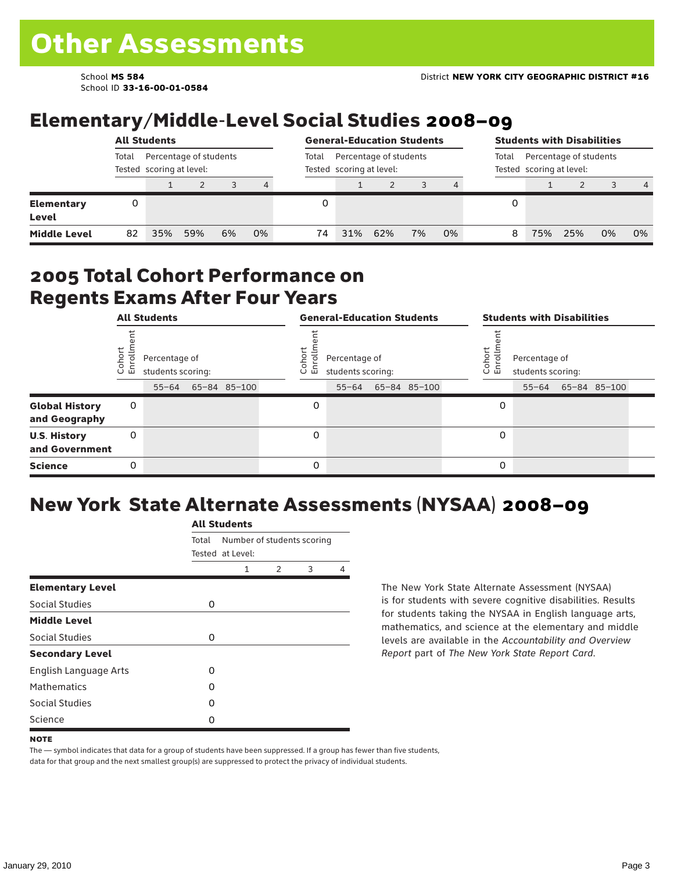School ID **33-16-00-01-0584**

## Elementary/Middle-Level Social Studies 2008–09

|                            | <b>All Students</b> |     |                                                    |    | <b>General-Education Students</b> |                                                    |     |     |    | <b>Students with Disabilities</b> |   |                                                             |     |    |                |  |  |
|----------------------------|---------------------|-----|----------------------------------------------------|----|-----------------------------------|----------------------------------------------------|-----|-----|----|-----------------------------------|---|-------------------------------------------------------------|-----|----|----------------|--|--|
|                            | Total               |     | Percentage of students<br>Tested scoring at level: |    | Total                             | Percentage of students<br>Tested scoring at level: |     |     |    |                                   |   | Percentage of students<br>Total<br>Tested scoring at level: |     |    |                |  |  |
|                            |                     |     |                                                    | 3  | 4                                 |                                                    |     |     |    | 4                                 |   |                                                             |     |    | $\overline{4}$ |  |  |
| <b>Elementary</b><br>Level |                     |     |                                                    |    |                                   |                                                    |     |     |    |                                   | 0 |                                                             |     |    |                |  |  |
| <b>Middle Level</b>        | 82                  | 35% | 59%                                                | 6% | 0%                                | 74                                                 | 31% | 62% | 7% | 0%                                | 8 | 75%                                                         | 25% | 0% | 0%             |  |  |

#### 2005 Total Cohort Performance on Regents Exams After Four Years

|                                        | <b>All Students</b><br>Cohort<br>Enrollm<br>Percentage of<br>students scoring:<br>65-84 85-100<br>$55 - 64$<br>0<br>0 |  |  |  |  | <b>General-Education Students</b> |                                    |  |              |  |                                                        | <b>Students with Disabilities</b> |  |                    |  |  |  |
|----------------------------------------|-----------------------------------------------------------------------------------------------------------------------|--|--|--|--|-----------------------------------|------------------------------------|--|--------------|--|--------------------------------------------------------|-----------------------------------|--|--------------------|--|--|--|
|                                        |                                                                                                                       |  |  |  |  | Cohoi<br>o.<br>屲                  | Percentage of<br>students scoring: |  |              |  | Cohort<br>Percentage of<br>S<br>멷<br>students scoring: |                                   |  |                    |  |  |  |
|                                        |                                                                                                                       |  |  |  |  |                                   | $55 - 64$                          |  | 65-84 85-100 |  |                                                        |                                   |  | 55-64 65-84 85-100 |  |  |  |
| <b>Global History</b><br>and Geography |                                                                                                                       |  |  |  |  | 0                                 |                                    |  |              |  | 0                                                      |                                   |  |                    |  |  |  |
| <b>U.S. History</b><br>and Government  |                                                                                                                       |  |  |  |  | 0                                 |                                    |  |              |  | 0                                                      |                                   |  |                    |  |  |  |
| <b>Science</b>                         | 0                                                                                                                     |  |  |  |  | 0                                 |                                    |  |              |  | 0                                                      |                                   |  |                    |  |  |  |

## New York State Alternate Assessments (NYSAA) 2008–09

|                         |       | <b>All Students</b> |                            |   |   |  |  |  |  |
|-------------------------|-------|---------------------|----------------------------|---|---|--|--|--|--|
|                         | Total | Tested at Level:    | Number of students scoring |   |   |  |  |  |  |
|                         |       | 1                   | $\mathcal{P}$              | 3 | 4 |  |  |  |  |
| <b>Elementary Level</b> |       |                     |                            |   |   |  |  |  |  |
| Social Studies          | 0     |                     |                            |   |   |  |  |  |  |
| <b>Middle Level</b>     |       |                     |                            |   |   |  |  |  |  |
| Social Studies          | 0     |                     |                            |   |   |  |  |  |  |
| <b>Secondary Level</b>  |       |                     |                            |   |   |  |  |  |  |
| English Language Arts   | O     |                     |                            |   |   |  |  |  |  |
| <b>Mathematics</b>      | Ω     |                     |                            |   |   |  |  |  |  |
| <b>Social Studies</b>   | O     |                     |                            |   |   |  |  |  |  |
| Science                 | Ω     |                     |                            |   |   |  |  |  |  |

The New York State Alternate Assessment (NYSAA) is for students with severe cognitive disabilities. Results for students taking the NYSAA in English language arts, mathematics, and science at the elementary and middle levels are available in the *Accountability and Overview Report* part of *The New York State Report Card*.

The — symbol indicates that data for a group of students have been suppressed. If a group has fewer than five students, data for that group and the next smallest group(s) are suppressed to protect the privacy of individual students.

**NOTE**